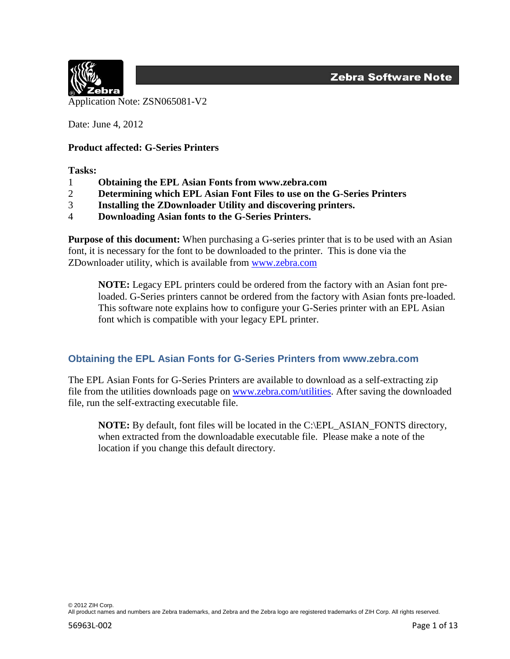

Date: June 4, 2012

#### **Product affected: G-Series Printers**

**Tasks:** 

- 1 **Obtaining the EPL Asian Fonts from www.zebra.com**
- 2 **Determining which EPL Asian Font Files to use on the G-Series Printers**
- 3 **Installing the ZDownloader Utility and discovering printers.**
- 4 **Downloading Asian fonts to the G-Series Printers.**

**Purpose of this document:** When purchasing a G-series printer that is to be used with an Asian font, it is necessary for the font to be downloaded to the printer. This is done via the ZDownloader utility, which is available from [www.zebra.com](http://www.zebra.com/)

**NOTE:** Legacy EPL printers could be ordered from the factory with an Asian font preloaded. G-Series printers cannot be ordered from the factory with Asian fonts pre-loaded. This software note explains how to configure your G-Series printer with an EPL Asian font which is compatible with your legacy EPL printer.

### **Obtaining the EPL Asian Fonts for G-Series Printers from www.zebra.com**

The EPL Asian Fonts for G-Series Printers are available to download as a self-extracting zip file from the utilities downloads page on [www.zebra.com/utilities.](http://www.zebra.com/utilities) After saving the downloaded file, run the self-extracting executable file.

**NOTE:** By default, font files will be located in the C:\EPL\_ASIAN\_FONTS directory, when extracted from the downloadable executable file. Please make a note of the location if you change this default directory.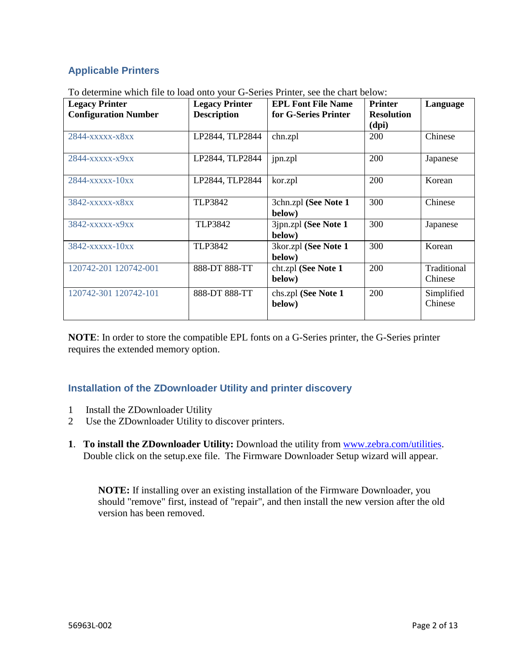# **Applicable Printers**

|  | To determine which file to load onto your G-Series Printer, see the chart below: |
|--|----------------------------------------------------------------------------------|
|--|----------------------------------------------------------------------------------|

| <b>Legacy Printer</b><br><b>Configuration Number</b> | <b>Legacy Printer</b><br><b>Description</b> | <b>EPL Font File Name</b><br>for G-Series Printer | <b>Printer</b><br><b>Resolution</b><br>(dpi) | Language               |
|------------------------------------------------------|---------------------------------------------|---------------------------------------------------|----------------------------------------------|------------------------|
| 2844-xxxxx-x8xx                                      | LP2844, TLP2844                             | chn.zpl                                           | 200                                          | Chinese                |
| 2844-xxxxx-x9xx                                      | LP2844, TLP2844                             | jpn.zpl                                           | 200                                          | Japanese               |
| $2844 -$ xxxxx $-10$ xx                              | LP2844, TLP2844                             | kor.zpl                                           | 200                                          | Korean                 |
| 3842-xxxxx-x8xx                                      | <b>TLP3842</b>                              | 3chn.zpl (See Note 1<br>below)                    | 300                                          | Chinese                |
| 3842-xxxxx-x9xx                                      | <b>TLP3842</b>                              | 3jpn.zpl (See Note 1<br>below)                    | 300                                          | Japanese               |
| 3842-xxxxx-10xx                                      | <b>TLP3842</b>                              | 3kor.zpl (See Note 1<br>below)                    | 300                                          | Korean                 |
| 120742-201 120742-001                                | 888-DT 888-TT                               | cht.zpl (See Note 1<br>below)                     | 200                                          | Traditional<br>Chinese |
| 120742-301 120742-101                                | 888-DT 888-TT                               | chs.zpl (See Note 1<br>below)                     | 200                                          | Simplified<br>Chinese  |

**NOTE**: In order to store the compatible EPL fonts on a G-Series printer, the G-Series printer requires the extended memory option.

# **Installation of the ZDownloader Utility and printer discovery**

- 1 Install the ZDownloader Utility
- 2 Use the ZDownloader Utility to discover printers.
- **1**. **To install the ZDownloader Utility:** Download the utility from [www.zebra.com/utilities.](http://www.zebra.com/utilities) Double click on the setup.exe file. The Firmware Downloader Setup wizard will appear.

**NOTE:** If installing over an existing installation of the Firmware Downloader, you should "remove" first, instead of "repair", and then install the new version after the old version has been removed.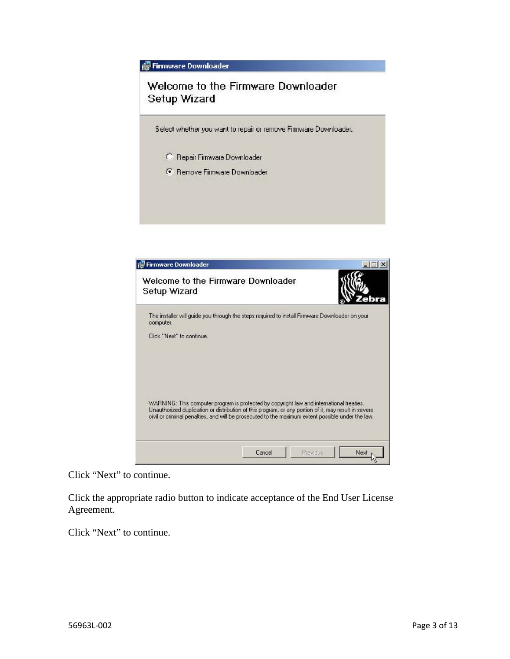**Fig Firmware Downloader** Welcome to the Firmware Downloader Setup Wizard Select whether you want to repair or remove Firmware Downloader. <sup>C</sup> Repair Firmware Downloader <sup>6</sup> Remove Firmware Downloader

| Firmware Downloader                                                                                                                                                                                                                                                                                   |        |                  |
|-------------------------------------------------------------------------------------------------------------------------------------------------------------------------------------------------------------------------------------------------------------------------------------------------------|--------|------------------|
| Welcome to the Firmware Downloader<br>Setup Wizard                                                                                                                                                                                                                                                    |        |                  |
| The installer will quide you through the steps required to install Firmware Downloader on your<br>computer.                                                                                                                                                                                           |        |                  |
| Click "Next" to continue.                                                                                                                                                                                                                                                                             |        |                  |
|                                                                                                                                                                                                                                                                                                       |        |                  |
|                                                                                                                                                                                                                                                                                                       |        |                  |
| WARNING: This computer program is protected by copyright law and international treaties.<br>Unauthorized duplication or distribution of this program, or any portion of it, may result in severe<br>civil or criminal penalties, and will be prosecuted to the maximum extent possible under the law. |        |                  |
|                                                                                                                                                                                                                                                                                                       |        |                  |
|                                                                                                                                                                                                                                                                                                       | Cancel | Previous<br>Next |

Click "Next" to continue.

Click the appropriate radio button to indicate acceptance of the End User License Agreement.

Click "Next" to continue.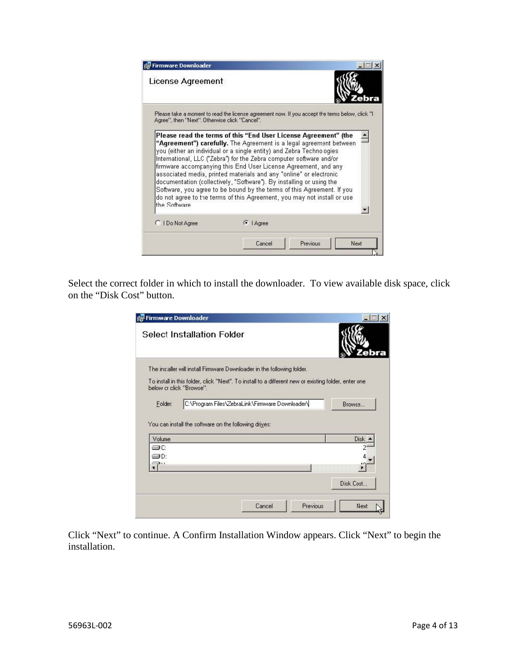| Firmware Downloader                            |                                                                                                                                                                                                                                                                                                                                                                                                                                                                                                                                                                                                                                                           |                                                                                                 |
|------------------------------------------------|-----------------------------------------------------------------------------------------------------------------------------------------------------------------------------------------------------------------------------------------------------------------------------------------------------------------------------------------------------------------------------------------------------------------------------------------------------------------------------------------------------------------------------------------------------------------------------------------------------------------------------------------------------------|-------------------------------------------------------------------------------------------------|
| License Agreement                              |                                                                                                                                                                                                                                                                                                                                                                                                                                                                                                                                                                                                                                                           |                                                                                                 |
| Agree", then "Next". Otherwise click "Cancel". |                                                                                                                                                                                                                                                                                                                                                                                                                                                                                                                                                                                                                                                           | Please take a moment to read the license agreement now. If you accept the terms below, click "I |
| the Software                                   | Please read the terms of this "End User License Agreement" (the<br>"Agreement") carefully. The Agreement is a legal agreement between<br>you (either an individual or a single entity) and Zebra Techno ogies<br>International, LLC ("Zebra") for the Zebra computer software and/or<br>firmware accompanying this End User License Agreement, and any<br>associated media, printed materials and any "online" or electronic<br>documentation (collectively, "Software"). By installing or using the<br>Software, you agree to be bound by the terms of this Agreement. If you<br>do not agree to the terms of this Agreement, you may not install or use |                                                                                                 |
| C I Do Not Agree                               | $\bullet$   Agree                                                                                                                                                                                                                                                                                                                                                                                                                                                                                                                                                                                                                                         |                                                                                                 |
|                                                | Cancel                                                                                                                                                                                                                                                                                                                                                                                                                                                                                                                                                                                                                                                    | Previous<br>Next                                                                                |

Select the correct folder in which to install the downloader. To view available disk space, click on the "Disk Cost" button.

|                          | Firmware Downloader                                   |                                                                                                      |             |
|--------------------------|-------------------------------------------------------|------------------------------------------------------------------------------------------------------|-------------|
|                          | <b>Select Installation Folder</b>                     |                                                                                                      |             |
|                          |                                                       | The installer will install Firmware Downloader in the following folder.                              |             |
| below cr click "Browse". |                                                       | To install in this folder, click "Next". To install to a different new or existing folder, enter one |             |
| Folder:                  |                                                       | C:\Program Files\ZebraLink\Firmware Downloader\                                                      | Browse      |
|                          | You can install the software on the following drives: |                                                                                                      |             |
| Volume                   |                                                       |                                                                                                      |             |
| ⊜C                       |                                                       |                                                                                                      | <b>Disk</b> |
| ≔∎D∙                     |                                                       |                                                                                                      |             |
| 28 L.I                   |                                                       |                                                                                                      |             |
|                          |                                                       |                                                                                                      | Disk Cost   |

Click "Next" to continue. A Confirm Installation Window appears. Click "Next" to begin the installation.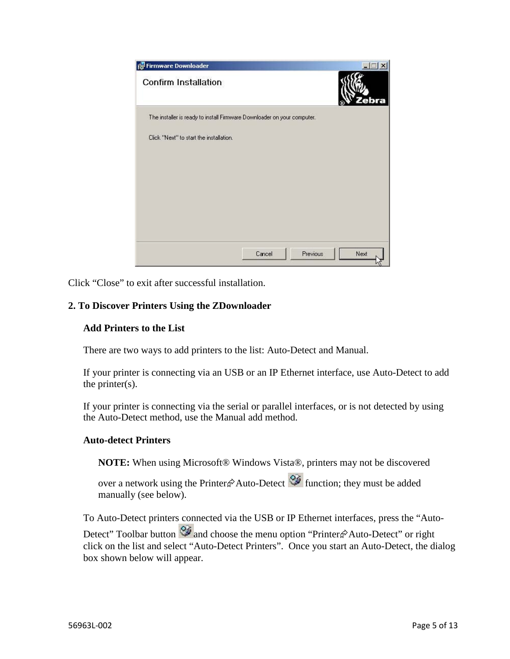

Click "Close" to exit after successful installation.

### **2. To Discover Printers Using the ZDownloader**

#### **Add Printers to the List**

There are two ways to add printers to the list: Auto-Detect and Manual.

If your printer is connecting via an USB or an IP Ethernet interface, use Auto-Detect to add the printer $(s)$ .

If your printer is connecting via the serial or parallel interfaces, or is not detected by using the Auto-Detect method, use the Manual add method.

#### **Auto-detect Printers**

**NOTE:** When using Microsoft® Windows Vista®, printers may not be discovered

over a network using the Printer $\hat{\varphi}$ Auto-Detect  $\hat{\mathcal{Q}}$  function; they must be added manually (see below).

To Auto-Detect printers connected via the USB or IP Ethernet interfaces, press the "Auto-Detect" Toolbar button **2** and choose the menu option "Printer  $\hat{\mathcal{P}}$  Auto-Detect" or right click on the list and select "Auto-Detect Printers". Once you start an Auto-Detect, the dialog box shown below will appear.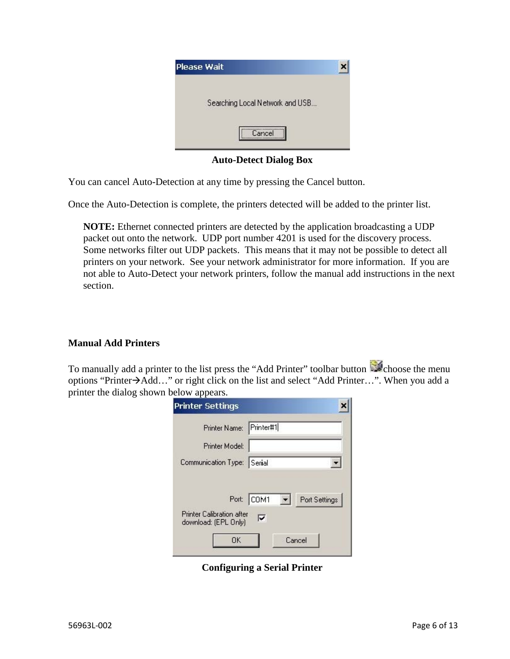| <b>Please Wait</b>              |  |
|---------------------------------|--|
| Searching Local Network and USB |  |
| Cancel                          |  |

**Auto-Detect Dialog Box** 

You can cancel Auto-Detection at any time by pressing the Cancel button.

Once the Auto-Detection is complete, the printers detected will be added to the printer list.

**NOTE:** Ethernet connected printers are detected by the application broadcasting a UDP packet out onto the network. UDP port number 4201 is used for the discovery process. Some networks filter out UDP packets. This means that it may not be possible to detect all printers on your network. See your network administrator for more information. If you are not able to Auto-Detect your network printers, follow the manual add instructions in the next section.

### **Manual Add Printers**

To manually add a printer to the list press the "Add Printer" toolbar button choose the menu options "Printer→Add…" or right click on the list and select "Add Printer…". When you add a printer the dialog shown below appears.

| <b>Printer Settings</b>                                               |                                                            |
|-----------------------------------------------------------------------|------------------------------------------------------------|
| Printer Name: Printer#1                                               |                                                            |
| Printer Model:                                                        |                                                            |
| Communication Type: Serial                                            |                                                            |
| <b>Printer Calibration after</b><br>download: (EPL Only)<br><b>OK</b> | Port: COM1<br>Port Settings<br>$\mathbf{r}$<br>М<br>Cancel |

**Configuring a Serial Printer**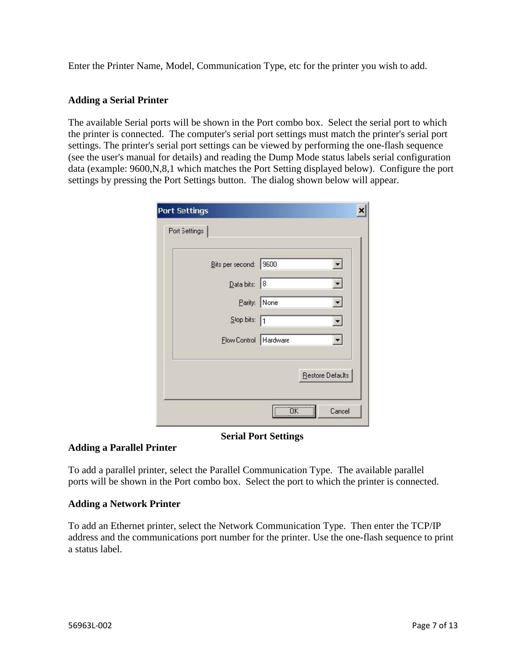Enter the Printer Name, Model, Communication Type, etc for the printer you wish to add.

## **Adding a Serial Printer**

The available Serial ports will be shown in the Port combo box. Select the serial port to which the printer is connected. The computer's serial port settings must match the printer's serial port settings. The printer's serial port settings can be viewed by performing the one-flash sequence (see the user's manual for details) and reading the Dump Mode status labels serial configuration data (example: 9600,N,8,1 which matches the Port Setting displayed below). Configure the port settings by pressing the Port Settings button. The dialog shown below will appear.

| Bits per second:   9600  |              |  |
|--------------------------|--------------|--|
| Data bits: 8             |              |  |
|                          | Parity: None |  |
| $S$ lop bits: $\sqrt{1}$ |              |  |
| Flow Control Hardware    |              |  |

### **Serial Port Settings**

# **Adding a Parallel Printer**

To add a parallel printer, select the Parallel Communication Type. The available parallel ports will be shown in the Port combo box. Select the port to which the printer is connected.

### **Adding a Network Printer**

To add an Ethernet printer, select the Network Communication Type. Then enter the TCP/IP address and the communications port number for the printer. Use the one-flash sequence to print a status label.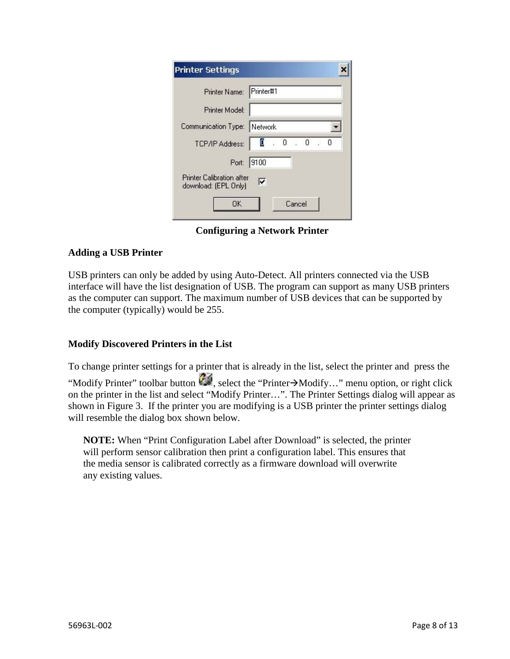| Printer Name: Printer#1                           |                                    |
|---------------------------------------------------|------------------------------------|
| Printer Model:                                    |                                    |
| Communication Type: Network                       |                                    |
| TCP/IP Address:                                   | $\blacksquare$<br>$\cdot$ 0<br>. 0 |
| Port:                                             | 9100                               |
| Printer Calibration after<br>download: (EPL Only) | ⊽                                  |

**Configuring a Network Printer** 

# **Adding a USB Printer**

USB printers can only be added by using Auto-Detect. All printers connected via the USB interface will have the list designation of USB. The program can support as many USB printers as the computer can support. The maximum number of USB devices that can be supported by the computer (typically) would be 255.

# **Modify Discovered Printers in the List**

To change printer settings for a printer that is already in the list, select the printer and press the "Modify Printer" toolbar button  $\mathbb{Z}$ , select the "Printer $\rightarrow$ Modify..." menu option, or right click on the printer in the list and select "Modify Printer…". The Printer Settings dialog will appear as shown in Figure 3. If the printer you are modifying is a USB printer the printer settings dialog will resemble the dialog box shown below.

**NOTE:** When "Print Configuration Label after Download" is selected, the printer will perform sensor calibration then print a configuration label. This ensures that the media sensor is calibrated correctly as a firmware download will overwrite any existing values.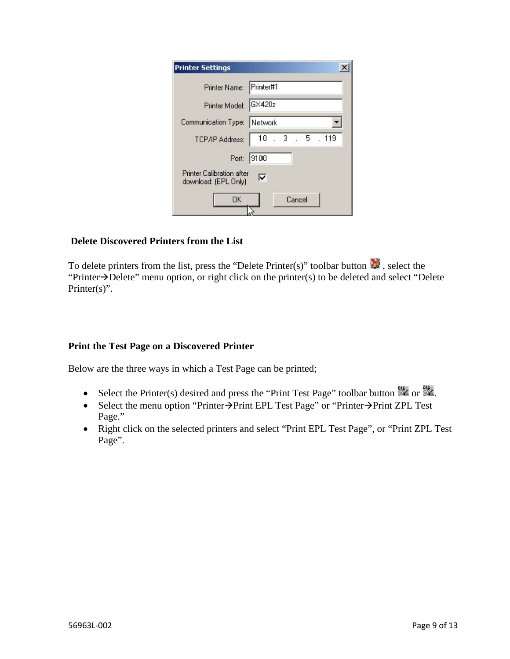| <b>Printer Settings</b>                                  |                    |
|----------------------------------------------------------|--------------------|
| Printer Name: Printer#1                                  |                    |
| Printer Model: GX420z                                    |                    |
| Communication Type: Network                              |                    |
| TCP/IP Address:                                          | 10<br>5, 119<br>-3 |
|                                                          | Port: 9100         |
| <b>Printer Calibration after</b><br>download: (EPL Only) | ⊽                  |
| OK                                                       | Cancel             |
|                                                          |                    |

### **Delete Discovered Printers from the List**

To delete printers from the list, press the "Delete Printer(s)" toolbar button  $\mathbb{R}^n$ , select the "Printer $\rightarrow$ Delete" menu option, or right click on the printer(s) to be deleted and select "Delete Printer(s)".

### **Print the Test Page on a Discovered Printer**

Below are the three ways in which a Test Page can be printed;

- Select the Printer(s) desired and press the "Print Test Page" toolbar button  $\frac{1}{2}$  or  $\frac{1}{2}$ .
- Select the menu option "Printer $\rightarrow$ Print EPL Test Page" or "Printer $\rightarrow$ Print ZPL Test Page."
- Right click on the selected printers and select "Print EPL Test Page", or "Print ZPL Test Page".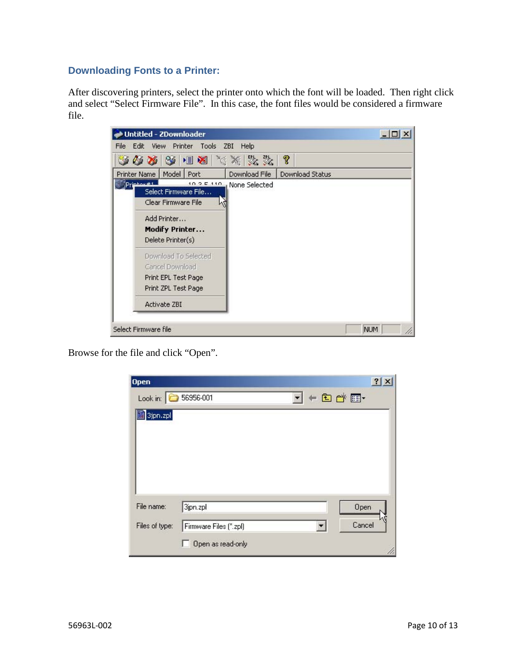# **Downloading Fonts to a Printer:**

After discovering printers, select the printer onto which the font will be loaded. Then right click and select "Select Firmware File". In this case, the font files would be considered a firmware file.



Browse for the file and click "Open".

| <b>Open</b>    |                        |                                | $\mathbf{Z}$ |
|----------------|------------------------|--------------------------------|--------------|
| Look in:       | 56956-001              | $+B$<br>$\left  \cdot \right $ |              |
| 图 3jpn.zpl     |                        |                                |              |
|                |                        |                                |              |
|                |                        |                                |              |
|                |                        |                                |              |
|                |                        |                                |              |
|                |                        |                                |              |
|                |                        |                                |              |
| File name:     | 3jpn.zpl               |                                | Open         |
| Files of type: | Firmware Files (".zpl) | Y                              | Cancel       |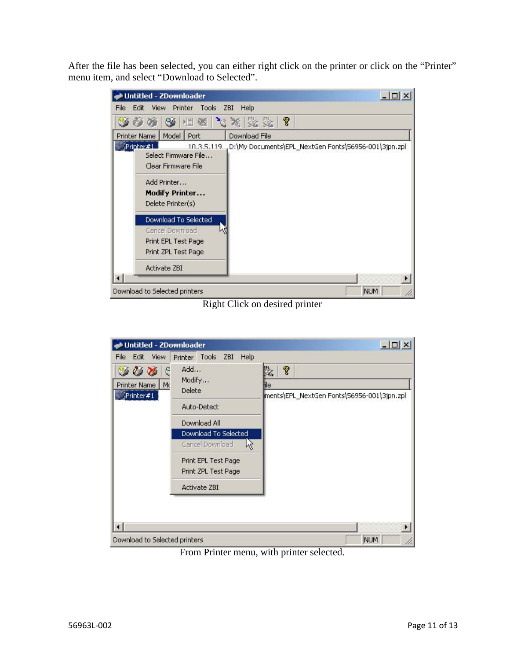After the file has been selected, you can either right click on the printer or click on the "Printer" menu item, and select "Download to Selected".

| Untitled - ZDownloader                                                                | $  D $ $\times$                                      |
|---------------------------------------------------------------------------------------|------------------------------------------------------|
| Edit<br>View<br>Tools<br>Printer<br>File                                              | ZBI<br>Help                                          |
| 多相格                                                                                   | ?<br>$ \mathcal{N} \times \mathbb{R} $               |
| Model   Port<br><b>Printer Name</b>                                                   | Download File                                        |
| Printer#1<br>10.3.5.119<br>Select Firmware File<br>Clear Firmware File                | D:\My Documents\EPL_NextGen Fonts\56956-001\3jpn.zpl |
| Add Printer<br><b>Modify Printer</b><br>Delete Printer(s)                             |                                                      |
| Download To Selected<br>Cancel Download<br>Print EPL Test Page<br>Print ZPL Test Page |                                                      |
| <b>Activate ZBI</b>                                                                   |                                                      |
| Download to Selected printers                                                         | <b>NUM</b>                                           |

Right Click on desired printer

| Untitled - ZDownloader                                               |                                                                                                                                                                                                                    | $ \Box$ $\times$                                            |
|----------------------------------------------------------------------|--------------------------------------------------------------------------------------------------------------------------------------------------------------------------------------------------------------------|-------------------------------------------------------------|
| Edit<br>View<br>File<br>e<br>30 Y<br>Printer Name<br>Mo<br>Printer#1 | Help<br>Tools ZBI<br>Printer<br>Add<br>Modify<br><b>Delete</b><br>Auto-Detect<br>Download All<br>Download To Selected<br>ピ<br>Cancel Download<br>Print EPL Test Page<br>Print ZPL Test Page<br><b>Activate ZBI</b> | q<br>阣<br>ile<br>ments\EPL_NextGen Fonts\56956-001\3jpn.zpl |
| Download to Selected printers                                        |                                                                                                                                                                                                                    | <b>NUM</b>                                                  |

From Printer menu, with printer selected.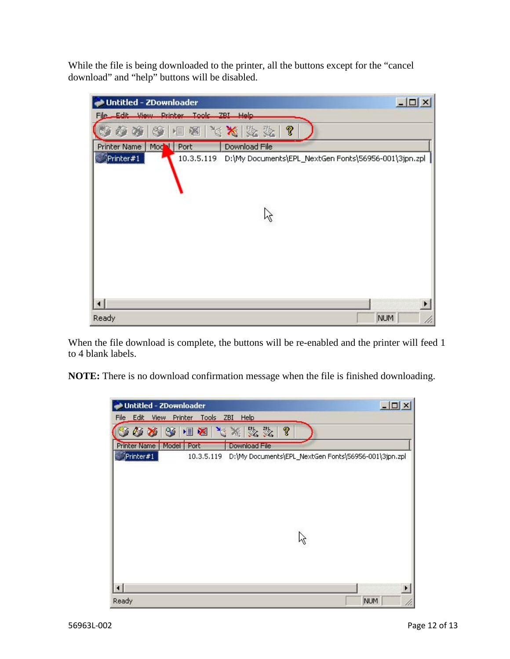While the file is being downloaded to the printer, all the buttons except for the "cancel download" and "help" buttons will be disabled.

| <b>Untitled - ZDownloader</b>                                                   | $  D  \times$ |
|---------------------------------------------------------------------------------|---------------|
| File Edit View Printer Tools ZBI Help                                           |               |
| ◆ ※   ※   ■ ※   ※ ※   ※ ☆   ?                                                   |               |
| Model Port<br>Download File<br><b>Printer Name</b>                              |               |
| Printer#1<br>10.3.5.119<br>D:\My Documents\EPL_NextGen Fonts\56956-001\3jpn.zpl |               |
| Ready                                                                           | <b>NUM</b>    |

When the file download is complete, the buttons will be re-enabled and the printer will feed 1 to 4 blank labels.

**NOTE:** There is no download confirmation message when the file is finished downloading.

| <b>Untitled - ZDownloader</b>                             | $ \Box$ $\times$                                     |
|-----------------------------------------------------------|------------------------------------------------------|
| <b>Edit</b><br>Tools ZBI Help<br>File<br>View<br>Printer  |                                                      |
| 大米数数<br>?<br>相图<br>$\mathcal{C} \times$<br>$^{\circledR}$ |                                                      |
| Model   Port<br>Download File<br><b>Printer Name</b>      |                                                      |
| Printer#1<br>10.3.5.119                                   | D:\My Documents\EPL_NextGen Fonts\56956-001\3jpn.zpl |
| $\left  \cdot \right $<br>Ready                           | ٠<br><b>NUM</b>                                      |